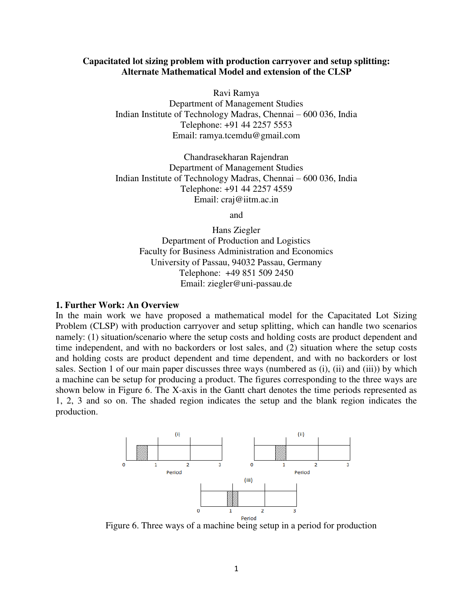#### **Capacitated lot sizing problem with production carryover and setup splitting: Alternate Mathematical Model and extension of the CLSP**

Ravi Ramya Department of Management Studies Indian Institute of Technology Madras, Chennai – 600 036, India Telephone: +91 44 2257 5553 Email: ramya.tcemdu@gmail.com

Chandrasekharan Rajendran Department of Management Studies Indian Institute of Technology Madras, Chennai – 600 036, India Telephone: +91 44 2257 4559 Email: craj@iitm.ac.in

and

Hans Ziegler Department of Production and Logistics Faculty for Business Administration and Economics University of Passau, 94032 Passau, Germany Telephone: +49 851 509 2450 Email: ziegler@uni-passau.de

#### **1. Further Work: An Overview**

In the main work we have proposed a mathematical model for the Capacitated Lot Sizing Problem (CLSP) with production carryover and setup splitting, which can handle two scenarios namely: (1) situation/scenario where the setup costs and holding costs are product dependent and time independent, and with no backorders or lost sales, and (2) situation where the setup costs and holding costs are product dependent and time dependent, and with no backorders or lost sales. Section 1 of our main paper discusses three ways (numbered as (i), (ii) and (iii)) by which a machine can be setup for producing a product. The figures corresponding to the three ways are shown below in Figure 6. The X-axis in the Gantt chart denotes the time periods represented as 1, 2, 3 and so on. The shaded region indicates the setup and the blank region indicates the production.



Figure 6. Three ways of a machine being setup in a period for production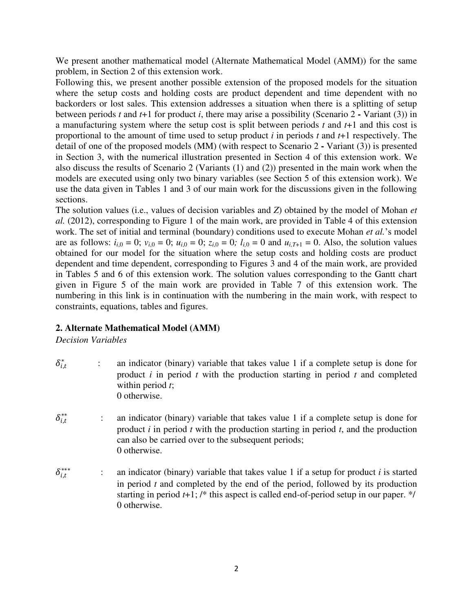We present another mathematical model (Alternate Mathematical Model (AMM)) for the same problem, in Section 2 of this extension work.

Following this, we present another possible extension of the proposed models for the situation where the setup costs and holding costs are product dependent and time dependent with no backorders or lost sales. This extension addresses a situation when there is a splitting of setup between periods *t* and *t*+1 for product *i*, there may arise a possibility (Scenario 2 **-** Variant (3)) in a manufacturing system where the setup cost is split between periods *t* and *t*+1 and this cost is proportional to the amount of time used to setup product *i* in periods *t* and *t*+1 respectively. The detail of one of the proposed models (MM) (with respect to Scenario 2 **-** Variant (3)) is presented in Section 3, with the numerical illustration presented in Section 4 of this extension work. We also discuss the results of Scenario 2 (Variants (1) and (2)) presented in the main work when the models are executed using only two binary variables (see Section 5 of this extension work). We use the data given in Tables 1 and 3 of our main work for the discussions given in the following sections.

The solution values (i.e., values of decision variables and *Z*) obtained by the model of Mohan *et al.* (2012), corresponding to Figure 1 of the main work, are provided in Table 4 of this extension work. The set of initial and terminal (boundary) conditions used to execute Mohan *et al.*'s model are as follows:  $i_{i,0} = 0$ ;  $v_{i,0} = 0$ ;  $u_{i,0} = 0$ ;  $z_{i,0} = 0$ ;  $l_{i,0} = 0$  and  $u_{i,T+1} = 0$ . Also, the solution values obtained for our model for the situation where the setup costs and holding costs are product dependent and time dependent, corresponding to Figures 3 and 4 of the main work, are provided in Tables 5 and 6 of this extension work. The solution values corresponding to the Gantt chart given in Figure 5 of the main work are provided in Table 7 of this extension work. The numbering in this link is in continuation with the numbering in the main work, with respect to constraints, equations, tables and figures.

# **2. Alternate Mathematical Model (AMM)**

*Decision Variables* 

- $\delta_{i,t}^*$  : an indicator (binary) variable that takes value 1 if a complete setup is done for product *i* in period *t* with the production starting in period *t* and completed within period *t*; 0 otherwise.
- $\delta_{i.t}^{**}$ ∗∗ : an indicator (binary) variable that takes value 1 if a complete setup is done for product *i* in period *t* with the production starting in period *t*, and the production can also be carried over to the subsequent periods; 0 otherwise.
- $\delta_{i,t}^{***}$ ∗∗∗ : an indicator (binary) variable that takes value 1 if a setup for product *i* is started in period *t* and completed by the end of the period, followed by its production starting in period *t*+1; /\* this aspect is called end-of-period setup in our paper. \*/ 0 otherwise.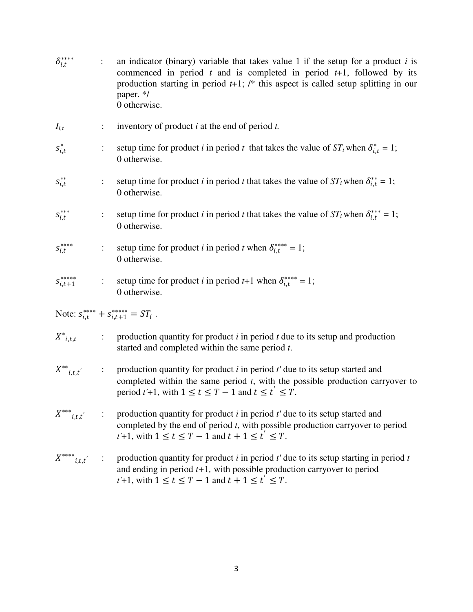| $\delta^{***}_{i,t}$                 |                      | an indicator (binary) variable that takes value 1 if the setup for a product $i$ is<br>commenced in period $t$ and is completed in period $t+1$ , followed by its<br>production starting in period $t+1$ ; /* this aspect is called setup splitting in our<br>paper. */<br>0 otherwise. |
|--------------------------------------|----------------------|-----------------------------------------------------------------------------------------------------------------------------------------------------------------------------------------------------------------------------------------------------------------------------------------|
| $I_{i,t}$                            | ÷.                   | inventory of product $i$ at the end of period $t$ .                                                                                                                                                                                                                                     |
| $s_{i,t}^*$                          |                      | setup time for product <i>i</i> in period <i>t</i> that takes the value of $ST_i$ when $\delta_{i,t}^* = 1$ ;<br>0 otherwise.                                                                                                                                                           |
| $s_{i,t}^{**}$                       |                      | setup time for product <i>i</i> in period <i>t</i> that takes the value of $ST_i$ when $\delta_{i,t}^{**} = 1$ ;<br>0 otherwise.                                                                                                                                                        |
| $S_{i,t}^{***}$                      |                      | setup time for product <i>i</i> in period <i>t</i> that takes the value of $ST_i$ when $\delta_{i,t}^{**} = 1$ ;<br>0 otherwise.                                                                                                                                                        |
| $S_{i,t}^{***}$                      | $\ddot{\phantom{a}}$ | setup time for product <i>i</i> in period <i>t</i> when $\delta_{i,t}^{***} = 1$ ;<br>0 otherwise.                                                                                                                                                                                      |
| $S^{****}_{i,t+1}$                   | $\ddot{\cdot}$       | setup time for product <i>i</i> in period <i>t</i> +1 when $\delta_{i,t}^{***} = 1$ ;<br>0 otherwise.                                                                                                                                                                                   |
|                                      |                      | Note: $s_{i,t}^{***} + s_{i,t+1}^{***} = ST_i$ .                                                                                                                                                                                                                                        |
| $X^*_{i,t,t}$                        | ÷                    | production quantity for product $i$ in period $t$ due to its setup and production<br>started and completed within the same period t.                                                                                                                                                    |
| $X^{**}{}_{i,t,t'}$                  | $\ddot{\cdot}$       | production quantity for product $i$ in period $t'$ due to its setup started and<br>completed within the same period $t$ , with the possible production carryover to<br>period $t'$ +1, with $1 \le t \le T - 1$ and $t \le t' \le T$ .                                                  |
| $X^{\ast\ast\ast}{}_{i,t,t^{'}}$     |                      | production quantity for product $i$ in period $t'$ due to its setup started and<br>completed by the end of period $t$ , with possible production carryover to period<br>$t'+1$ , with $1 \le t \le T-1$ and $t+1 \le t' \le T$ .                                                        |
| $X^{\ast\ast\ast\ast}{}_{i,t,t^{'}}$ |                      | production quantity for product $i$ in period $t'$ due to its setup starting in period $t$<br>and ending in period $t+1$ , with possible production carryover to period<br>$t'+1$ , with $1 \le t \le T-1$ and $t+1 \le t' \le T$ .                                                     |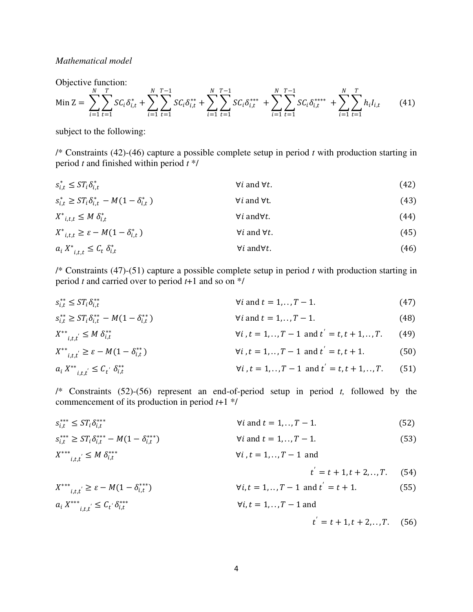### *Mathematical model*

Objective function:

$$
\text{Min}\ Z = \sum_{i=1}^{N} \sum_{t=1}^{T} \text{SC}_{i} \delta_{i,t}^{*} + \sum_{i=1}^{N} \sum_{t=1}^{T-1} \text{SC}_{i} \delta_{i,t}^{**} + \sum_{i=1}^{N} \sum_{t=1}^{T-1} \text{SC}_{i} \delta_{i,t}^{***} + \sum_{i=1}^{N} \sum_{t=1}^{T-1} \sum_{t=1}^{T} \text{C}_{i} \delta_{i,t}^{***} + \sum_{i=1}^{N} \sum_{t=1}^{T} \text{h}_{i} I_{i,t} \tag{41}
$$

subject to the following:

/\* Constraints (42)-(46) capture a possible complete setup in period *t* with production starting in period *t* and finished within period *t* \*/

$$
s_{i,t}^* \le ST_i \delta_{i,t}^* \qquad \qquad \forall i \text{ and } \forall t. \tag{42}
$$

$$
s_{i,t}^{*} \geq ST_{i}\delta_{i,t}^{*} - M(1 - \delta_{i,t}^{*})
$$
  
\n
$$
X^{*}_{i,t,t} \leq M \delta_{i,t}^{*}
$$
  
\n
$$
X^{*}_{i,t,t} \geq \varepsilon - M(1 - \delta_{i,t}^{*})
$$
  
\n
$$
Y_{i} \text{ and } \forall t.
$$
  
\n
$$
Y_{i} \text{ and } \forall t.
$$
  
\n(43)  
\n
$$
Y_{i} \text{ and } \forall t.
$$
  
\n(44)  
\n
$$
Y_{i} \text{ and } \forall t.
$$
  
\n(45)

$$
a_i X^*_{i,t,t} \leq C_t \delta_{i,t}^* \qquad \qquad \forall i \text{ and } \forall t. \tag{46}
$$

/\* Constraints (47)-(51) capture a possible complete setup in period *t* with production starting in period *t* and carried over to period *t*+1 and so on \*/

$$
s_{i,t}^{**} \le ST_i \delta_{i,t}^{**} \qquad \qquad \forall i \text{ and } t = 1,...,T-1. \tag{47}
$$

$$
s_{i,t}^{**} \ge ST_i \delta_{i,t}^{**} - M(1 - \delta_{i,t}^{**})
$$
  $\forall i \text{ and } t = 1, ..., T - 1.$  (48)

$$
X^{**}{}_{i,t,t^{'}} \leq M \, \delta^{**}_{i,t} \qquad \qquad \forall i \, t = 1,..,T-1 \text{ and } t^{'} = t, t+1,..,T. \tag{49}
$$

$$
X^{**}{}_{i,t,t'} \geq \varepsilon - M(1 - \delta^{**}_{i,t}) \qquad \qquad \forall i \, t = 1,.., T - 1 \text{ and } t' = t, t + 1. \tag{50}
$$

$$
a_i X^{**}{}_{i,t,t'} \leq C_{t'} \delta^{**}_{i,t}
$$
 (51)

/\* Constraints (52)-(56) represent an end-of-period setup in period *t,* followed by the commencement of its production in period *t*+1 \*/

| $s_{i,t}^{***} \leq ST_i \delta_{i,t}^{***}$                             | $\forall i$ and $t = 1, \ldots, T-1$ . | (52) |
|--------------------------------------------------------------------------|----------------------------------------|------|
| $S_{i,t}^{***} \geq ST_i \delta_{i,t}^{***} - M(1 - \delta_{i,t}^{***})$ | $\forall i$ and $t = 1, \ldots, T-1$ . | (53) |

$$
X^{***}_{i,t,t'} \le M \delta^{***}_{i,t} \qquad \qquad \forall i, t = 1,.., T-1 \text{ and}
$$

$$
t^{'} = t + 1, t + 2, ..., T. \tag{54}
$$

$$
X^{***}_{i,t,t'} \ge \varepsilon - M(1 - \delta^{***}_{i,t})
$$
  
\n
$$
\forall i, t = 1,.., T - 1 \text{ and } t' = t + 1.
$$
  
\n
$$
\alpha_i X^{***}_{i,t,t'} \le C_t' \delta^{***}_{i,t}
$$
  
\n
$$
\forall i, t = 1,.., T - 1 \text{ and }
$$
  
\n(55)

$$
t^{'} = t + 1, t + 2, ..., T.
$$
 (56)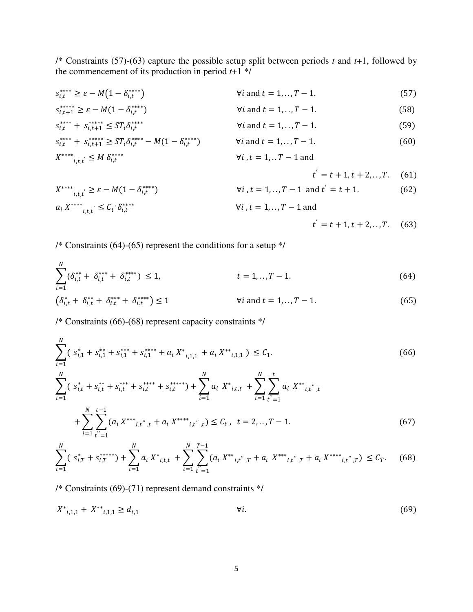/\* Constraints (57)-(63) capture the possible setup split between periods *t* and *t*+1, followed by the commencement of its production in period  $t+1$ <sup>\*/</sup>

- $s_{i,t}^{***} \geq \varepsilon M(1 \delta_{i,t}^{**})$  $forall i$  and  $t = 1, ..., T - 1$ . (57)
- $s_{i,t+1}^{****} \geq \varepsilon M(1 \delta_{i,t}^{**})$  $forall i$  and  $t = 1, ..., T - 1$ . (58)  $\forall i$  and  $t = 1, ..., T - 1$ . (59)

$$
s_{i,t}^{****} + s_{i,t+1}^{****} \le ST_i \delta_{i,t}^{****} \qquad \forall i \text{ and } t = 1,..,T-1.
$$
\n
$$
s_{i,t}^{****} + s_{i,t+1}^{****} \ge ST_i \delta_{i,t}^{****} - M(1 - \delta_{i,t}^{****}) \qquad \forall i \text{ and } t = 1,..,T-1.
$$
\n
$$
X^{****}_{i,t,t} \le M \delta_{i,t}^{****} \qquad \forall i, t = 1,..,T-1 \text{ and}
$$
\n
$$
(59)
$$
\n
$$
Y_i^{**} + S_{i,t+1}^{**} \le M \delta_{i,t}^{****}
$$

$$
t^{'} = t + 1, t + 2, ..., T.
$$
 (61)

$$
X^{****}_{i,t,t'} \ge \varepsilon - M(1 - \delta^{****}_{i,t'}) \qquad \forall i, t = 1,...,T - 1 \text{ and } t' = t + 1. \tag{62}
$$
  
\n
$$
a_i X^{****}_{i,t,t'} \le C_t' \delta^{****}_{i,t'} \qquad \forall i, t = 1,...,T - 1 \text{ and}
$$

$$
t' = t + 1, t + 2, ..., T. \quad (63)
$$

/\* Constraints (64)-(65) represent the conditions for a setup \*/

$$
\sum_{i=1}^{N} (\delta_{i,t}^{**} + \delta_{i,t}^{***} + \delta_{i,t}^{***}) \le 1, \qquad t = 1,..,T-1.
$$
\n(64)  
\n
$$
(\delta_{i,t}^{*} + \delta_{i,t}^{**} + \delta_{i,t}^{***}) \le 1 \qquad \forall i \text{ and } t = 1,..,T-1.
$$

/\* Constraints (66)-(68) represent capacity constraints \*/

$$
\sum_{i=1}^{N} (s_{i,1}^{*} + s_{i,1}^{**} + s_{i,1}^{***} + s_{i,1}^{***} + a_{i} X^{*}_{i,1,1} + a_{i} X^{**}_{i,1,1}) \leq C_{1}.
$$
\n
$$
\sum_{i=1}^{N} (s_{i,t}^{*} + s_{i,t}^{**} + s_{i,t}^{***} + s_{i,t}^{***} + s_{i,t}^{***}) + \sum_{i=1}^{N} a_{i} X^{*}_{i,t,t} + \sum_{i=1}^{N} \sum_{t'=1}^{t} a_{i} X^{**}_{i,t'',t} + \sum_{i=1}^{N} \sum_{t'=1}^{t-1} a_{i} X^{**}_{i,t'',t} + \sum_{i=1}^{N} \sum_{t'=1}^{t-1} (a_{i} X^{***}_{i,t'',t} + a_{i} X^{****}_{i,t'',t}) \leq C_{t}, \quad t = 2,...,T-1.
$$
\n
$$
(67)
$$

$$
\sum_{i=1}^{N} (s_{i,T}^{*} + s_{i,T}^{***}) + \sum_{i=1}^{N} a_{i} X^{*}_{i,t,t} + \sum_{i=1}^{N} \sum_{t'=1}^{T-1} (a_{i} X^{**}_{i,t'',T} + a_{i} X^{***}_{i,t'',T} + a_{i} X^{***}_{i,t'',T}) \leq C_{T}.
$$
 (68)

/\* Constraints (69)-(71) represent demand constraints \*/

$$
X^*_{i,1,1} + X^{**}_{i,1,1} \ge d_{i,1} \qquad \qquad \forall i. \tag{69}
$$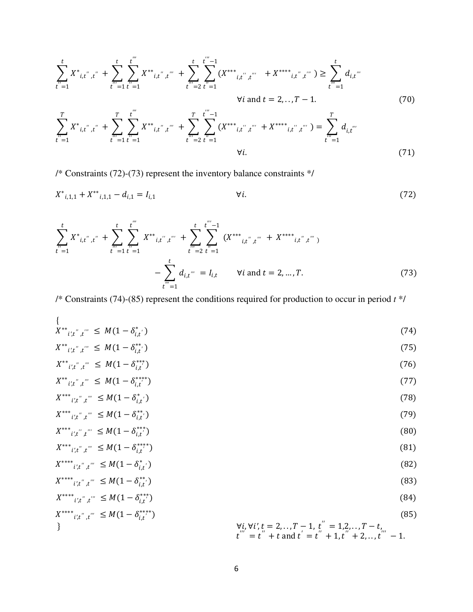$$
\sum_{t'=1}^{t} X^*_{i,t'',t''} + \sum_{t''=1}^{t} \sum_{t''=1}^{t'''} X^{**}_{i,t'',t''} + \sum_{t''=2}^{t} \sum_{t''=1}^{t''-1} (X^{***}_{i,t'',t''} + X^{***}_{i,t'',t''}) \ge \sum_{t''=1}^{t} d_{i,t''}
$$
\n
$$
\forall i \text{ and } t = 2,...,T-1.
$$
\n
$$
\sum_{t''=1}^{T} X^*_{i,t'',t''} + \sum_{t''=1}^{T} \sum_{t''=1}^{t''} X^{**}_{i,t'',t''} + \sum_{t''=2}^{T} \sum_{t''=1}^{t''-1} (X^{***}_{i,t'',t''} + X^{***}_{i,t'',t''}) = \sum_{t''=1}^{T} d_{i,t''}
$$
\n
$$
\forall i.
$$
\n(71)

/\* Constraints (72)-(73) represent the inventory balance constraints  $*/$ 

$$
X^*_{i,1,1} + X^{**}_{i,1,1} - d_{i,1} = I_{i,1} \qquad \qquad \forall i. \tag{72}
$$

$$
\sum_{t=1}^{t} X^*_{i,t'',t''} + \sum_{t''=1}^{t} \sum_{t''=1}^{t'''} X^{**}_{i,t'',t''} + \sum_{t''=2}^{t} \sum_{t''=1}^{t'''-1} (X^{***}_{i,t'',t''} + X^{***}_{i,t'',t''})
$$
  

$$
- \sum_{t''=1}^{t} d_{i,t'''} = I_{i,t} \qquad \forall i \text{ and } t = 2, ..., T.
$$
 (73)

/\* Constraints (74)-(85) represent the conditions required for production to occur in period  $t^*$ /

$$
\{\n\begin{aligned}\nX^{**}_{i',t'',t'''} &\leq M(1 - \delta^*_{i,t'})\n\end{aligned}\n\tag{74}
$$

$$
X^{**}{}_{i',t^{''},t^{'''}} \leq M(1 - \delta^{**}_{i,t'}) \tag{75}
$$

$$
X^{**}{}_{i',t^{''}}{}_{,t^{'''}} \leq M(1 - \delta^{**}_{i,t^{''}}) \tag{76}
$$
\n
$$
X^{**}{}_{i',t^{''}}{}_{,t''} \leq M(1 - \delta^{**}_{i,t^{'''}}) \tag{77}
$$

$$
X_{i',t'',t''} \leq M(1 - o_{i,t'})
$$
  
\n
$$
X^{**}_{i',t'',t''} \leq M(1 - \delta_{i,t'}^*)
$$
\n(78)

$$
X^{***}_{i',t'',t''} \leq M(1 - \delta^{**}_{i,t'}) \tag{79}
$$

$$
X^{***}{}_{i',t^{''},t^{'''}} \leq M(1 - \delta^{***}_{i,t^{''}}) \tag{80}
$$
\n
$$
X^{***}{}_{i',t^{''},t^{'''}} \leq M(1 - \delta^{***}_{i,t^{''}}) \tag{81}
$$

$$
X^{i,t^{m}}; t^{m} \leq M(1 - o_{i,t}^{*})
$$
\n
$$
X^{***^{*}}; t^{m} \leq M(1 - \delta^{*}_{i,t})
$$
\n(82)

$$
X^{****}_{i',t'',t'''} \leq M(1 - \delta^{**}_{i,t'}) \tag{83}
$$

$$
X^{****}_{i',t'',t'''} \leq M(1 - \delta^{***}_{i,t'})
$$
\n
$$
X^{****}_{i',t'',t'''} \leq M(1 - \delta^{****}_{i,t'})
$$
\n
$$
X^{****}_{i',t'',t'''} \leq M(1 - \delta^{****}_{i,t'})
$$
\n
$$
Y_{i'}^{i'} \forall i', t = 2,..., T - 1, t'' = 1,2,..., T - t, (85)
$$
\n
$$
(85)
$$

$$
t''' = t'' + t \text{ and } t' = t'' + 1, t'' + 2, \ldots, t''' - 1.
$$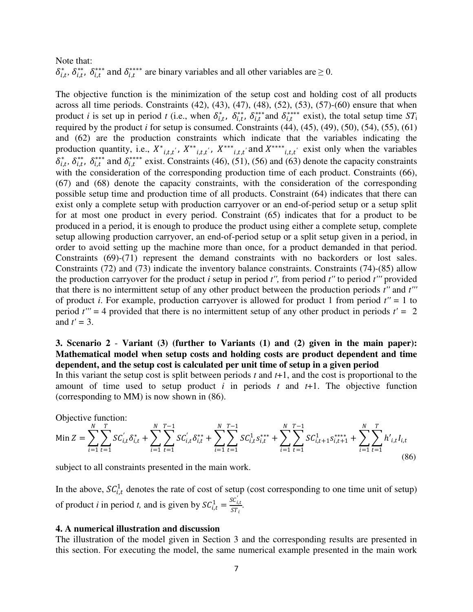# Note that:  $\delta_{i,t}^*$ ,  $\delta_{i,t}^{**}$ ,  $\delta_{i,t}^{**}$  and  $\delta_{i,t}^{**}$  are binary variables and all other variables are  $\geq 0$ .

The objective function is the minimization of the setup cost and holding cost of all products across all time periods. Constraints  $(42)$ ,  $(43)$ ,  $(47)$ ,  $(48)$ ,  $(52)$ ,  $(53)$ ,  $(57)$ - $(60)$  ensure that when product *i* is set up in period *t* (i.e., when  $\delta_{i,t}^*$ ,  $\delta_{i,t}^{**}$ ,  $\delta_{i,t}^{***}$  and  $\delta_{i,t}^{***}$  exist), the total setup time  $ST_i$ required by the product *i* for setup is consumed. Constraints  $(44)$ ,  $(45)$ ,  $(49)$ ,  $(50)$ ,  $(54)$ ,  $(55)$ ,  $(61)$ and (62) are the production constraints which indicate that the variables indicating the production quantity, i.e.,  $X^*_{i,t,t}$ ,  $X^{**}_{i,t,t}$ ,  $X^{***}_{i,t,t}$  and  $X^{***}_{i,t,t}$  exist only when the variables  $\delta_{i,t}^*$ ,  $\delta_{i,t}^{**}$  and  $\delta_{i,t}^{***}$  exist. Constraints (46), (51), (56) and (63) denote the capacity constraints with the consideration of the corresponding production time of each product. Constraints (66), (67) and (68) denote the capacity constraints, with the consideration of the corresponding possible setup time and production time of all products. Constraint (64) indicates that there can exist only a complete setup with production carryover or an end-of-period setup or a setup split for at most one product in every period. Constraint (65) indicates that for a product to be produced in a period, it is enough to produce the product using either a complete setup, complete setup allowing production carryover, an end-of-period setup or a split setup given in a period, in order to avoid setting up the machine more than once, for a product demanded in that period. Constraints (69)-(71) represent the demand constraints with no backorders or lost sales. Constraints (72) and (73) indicate the inventory balance constraints. Constraints (74)-(85) allow the production carryover for the product *i* setup in period *t'',* from period *t''* to period *t'''* provided that there is no intermittent setup of any other product between the production periods *t''* and *t'''* of product *i*. For example, production carryover is allowed for product 1 from period *t''* = 1 to period  $t'' = 4$  provided that there is no intermittent setup of any other product in periods  $t' = 2$ and  $t' = 3$ .

## **3. Scenario 2** - **Variant (3) (further to Variants (1) and (2) given in the main paper): Mathematical model when setup costs and holding costs are product dependent and time dependent, and the setup cost is calculated per unit time of setup in a given period**

In this variant the setup cost is split between periods *t* and *t*+1, and the cost is proportional to the amount of time used to setup product *i* in periods *t* and *t*+1. The objective function (corresponding to MM) is now shown in (86).

Objective function:

$$
\text{Min } Z = \sum_{i=1}^{N} \sum_{t=1}^{T} SC_{i,t}^{'} \delta_{i,t}^* + \sum_{i=1}^{N} \sum_{t=1}^{T-1} SC_{i,t}^{'} \delta_{i,t}^{**} + \sum_{i=1}^{N} \sum_{t=1}^{T-1} SC_{i,t}^{1} S_{i,t}^{**} + \sum_{i=1}^{N} \sum_{t=1}^{T-1} SC_{i,t+1}^{1} S_{i,t+1}^{***} + \sum_{i=1}^{N} \sum_{t=1}^{T} h_{i,t}^{'} I_{i,t} \tag{86}
$$

subject to all constraints presented in the main work.

In the above,  $SC_{i,t}^1$  denotes the rate of cost of setup (cost corresponding to one time unit of setup) of product *i* in period *t*, and is given by  $SC_{i,t}^1 = \frac{SC_{i,t}}{ST_i}$  $\frac{\sum_{i,t}}{ST_i}$ .

#### **4. A numerical illustration and discussion**

The illustration of the model given in Section 3 and the corresponding results are presented in this section. For executing the model, the same numerical example presented in the main work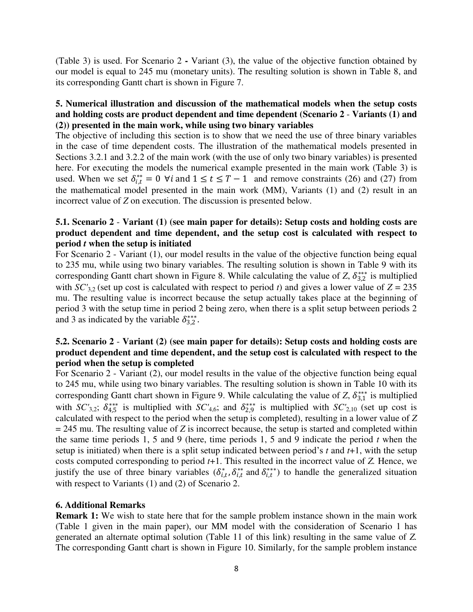(Table 3) is used. For Scenario 2 **-** Variant (3), the value of the objective function obtained by our model is equal to 245 mu (monetary units). The resulting solution is shown in Table 8, and its corresponding Gantt chart is shown in Figure 7.

# **5. Numerical illustration and discussion of the mathematical models when the setup costs and holding costs are product dependent and time dependent (Scenario 2** - **Variants (1) and (2)) presented in the main work, while using two binary variables**

The objective of including this section is to show that we need the use of three binary variables in the case of time dependent costs. The illustration of the mathematical models presented in Sections 3.2.1 and 3.2.2 of the main work (with the use of only two binary variables) is presented here. For executing the models the numerical example presented in the main work (Table 3) is used. When we set  $\delta_{i,t}^{**} = 0 \ \forall i$  and  $1 \le t \le T-1$  and remove constraints (26) and (27) from the mathematical model presented in the main work (MM), Variants (1) and (2) result in an incorrect value of *Z* on execution. The discussion is presented below.

# **5.1. Scenario 2** - **Variant (1) (see main paper for details): Setup costs and holding costs are product dependent and time dependent, and the setup cost is calculated with respect to period** *t* **when the setup is initiated**

For Scenario 2 - Variant (1), our model results in the value of the objective function being equal to 235 mu, while using two binary variables. The resulting solution is shown in Table 9 with its corresponding Gantt chart shown in Figure 8. While calculating the value of *Z*,  $\delta_{3,2}^{***}$  is multiplied with  $SC'_{3,2}$  (set up cost is calculated with respect to period *t*) and gives a lower value of  $Z = 235$ mu. The resulting value is incorrect because the setup actually takes place at the beginning of period 3 with the setup time in period 2 being zero, when there is a split setup between periods 2 and 3 as indicated by the variable  $\delta_{3,2}^{***}$ .

# **5.2. Scenario 2** - **Variant (2) (see main paper for details): Setup costs and holding costs are product dependent and time dependent, and the setup cost is calculated with respect to the period when the setup is completed**

For Scenario 2 - Variant (2), our model results in the value of the objective function being equal to 245 mu, while using two binary variables. The resulting solution is shown in Table 10 with its corresponding Gantt chart shown in Figure 9. While calculating the value of *Z*,  $\delta_{3,1}^{***}$  is multiplied with *SC'*<sub>3,2</sub>;  $\delta_{4,5}^{***}$  is multiplied with *SC'*<sub>4,6</sub>; and  $\delta_{2,9}^{***}$  is multiplied with *SC'*<sub>2,10</sub> (set up cost is calculated with respect to the period when the setup is completed), resulting in a lower value of *Z*  = 245 mu. The resulting value of *Z* is incorrect because, the setup is started and completed within the same time periods 1, 5 and 9 (here, time periods 1, 5 and 9 indicate the period *t* when the setup is initiated) when there is a split setup indicated between period's *t* and *t*+1, with the setup costs computed corresponding to period *t*+1. This resulted in the incorrect value of *Z.* Hence, we justify the use of three binary variables  $(\delta_{i,t}^*, \delta_{i,t}^{**}$  and  $\delta_{i,t}^{**}^*)$  to handle the generalized situation with respect to Variants (1) and (2) of Scenario 2.

### **6. Additional Remarks**

**Remark 1:** We wish to state here that for the sample problem instance shown in the main work (Table 1 given in the main paper), our MM model with the consideration of Scenario 1 has generated an alternate optimal solution (Table 11 of this link) resulting in the same value of *Z.*  The corresponding Gantt chart is shown in Figure 10. Similarly, for the sample problem instance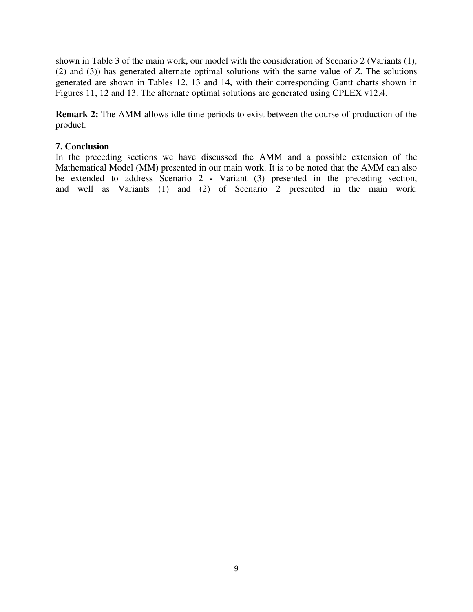shown in Table 3 of the main work, our model with the consideration of Scenario 2 (Variants (1), (2) and (3)) has generated alternate optimal solutions with the same value of *Z*. The solutions generated are shown in Tables 12, 13 and 14, with their corresponding Gantt charts shown in Figures 11, 12 and 13. The alternate optimal solutions are generated using CPLEX v12.4.

**Remark 2:** The AMM allows idle time periods to exist between the course of production of the product.

### **7. Conclusion**

In the preceding sections we have discussed the AMM and a possible extension of the Mathematical Model (MM) presented in our main work. It is to be noted that the AMM can also be extended to address Scenario 2 **-** Variant (3) presented in the preceding section, and well as Variants (1) and (2) of Scenario 2 presented in the main work.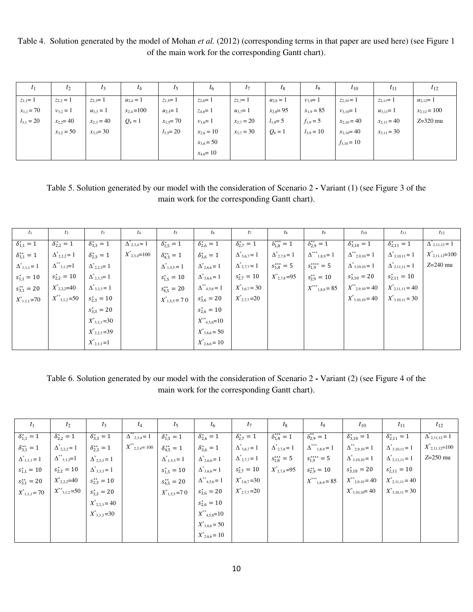Table 4. Solution generated by the model of Mohan *et al.* (2012) (corresponding terms in that paper are used here) (see Figure 1 of the main work for the corresponding Gantt chart).

| I <sub>1</sub> | $t_2$          | $t_3$          | $t_4$           | $t_5$          | $t_6$          | $t_7$          | $t_8$          | t9             | $t_{10}$        | $t_{11}$        | $t_{12}$         |
|----------------|----------------|----------------|-----------------|----------------|----------------|----------------|----------------|----------------|-----------------|-----------------|------------------|
| $z_{1,1} = 1$  | $z_{2,2}=1$    | $z_{2,3} = 1$  | $u_{2,4}=1$     | $z_{1,5} = 1$  | $z_{2,6} = 1$  | $z_{2,7} = 1$  | $u_{2,8} = 1$  | $v_{1,9} = 1$  | $z_{2,10} = 1$  | $z_{2,11}=1$    | $u_{2,12} = 1$   |
| $x_{1,1} = 70$ | $v_{3,2} = 1$  | $u_{3,3} = 1$  | $x_{2,4} = 100$ | $u_{2,5} = 1$  | $z_{4,6} = 1$  | $u_{3,7} = 1$  | $x_{2,8} = 95$ | $x_{1,9} = 85$ | $v_{3,10} = 1$  | $u_{3,11} = 1$  | $x_{2,12} = 100$ |
| $l_{3,1} = 20$ | $x_{2,2} = 40$ | $x_{2,3} = 40$ | $Q_4 = 1$       | $x_{1,5} = 70$ | $v_{3,6} = 1$  | $x_{2,7} = 20$ | $l_{1,8} = 5$  | $f_{1,9} = 5$  | $x_{2,10} = 40$ | $x_{2,11} = 40$ | $Z=320$ mu       |
|                | $x_{3,2} = 50$ | $x_{3,3} = 30$ |                 | $l_{3,5} = 20$ | $x_{2,6} = 10$ | $x_{3,7} = 30$ | $Q_8 = 1$      | $l_{3,9}=10$   | $x_{3,10} = 40$ | $x_{3,11} = 30$ |                  |
|                |                |                |                 |                | $x_{3,6} = 50$ |                |                |                | $f_{3,10} = 10$ |                 |                  |
|                |                |                |                 |                | $x_{4,6} = 10$ |                |                |                |                 |                 |                  |

Table 5. Solution generated by our model with the consideration of Scenario 2 **-** Variant (1) (see Figure 3 of the main work for the corresponding Gantt chart).

| $t_1$                   | $t_2$                   | $t_3$                  | $t_4$                  | $t_5$                   | $t_6$                              | $t_7$                  | $t_8$                  | $t_{9}$                    | $t_{10}$                       | $t_{11}$                 | $t_{12}$                        |
|-------------------------|-------------------------|------------------------|------------------------|-------------------------|------------------------------------|------------------------|------------------------|----------------------------|--------------------------------|--------------------------|---------------------------------|
| $\delta_{1,1}^* = 1$    | $\delta_{2,2}^* = 1$    | $\delta_{3,3}^* = 1$   | $\Delta^*_{2,3,4} = 1$ | $\delta_{1,5}^* = 1$    | $\delta_{2,6}^{*} = 1$             | $\delta_{2,7}^* = 1$   | $\delta_{1,8}^{***}=1$ | $\delta_{2,9}^{**} = 1$    | $\delta_{3,10}^* = 1$          | $\delta_{2,11}^* = 1$    | $\Delta$ <sub>2,11,12</sub> = 1 |
| $\delta_{3,1}^{**} = 1$ | $\Delta^*_{2,2,2} = 1$  | $\delta_{2,3}^* = 1$   | $X^*_{2,3,4}=100$      | $\delta_{4,5}^{**} = 1$ | $\delta_{3,6}^* = 1$               | $\Delta^*_{3,6,7}\!=1$ | $\Delta^*_{2,7,8} = 1$ | $\Delta^{***}_{1,8,9} = 1$ | $\Delta^{**}_{2,9,10} = 1$     | $\Delta^*_{3,10,11} = 1$ | $X^{\ast}_{2,11,12}=100$        |
| $\Delta^*_{1,1,1} = 1$  | $\Delta^{**}_{3,1,2}=1$ | $\Delta^*_{2,2,3} = 1$ |                        | $\Delta^*_{1,5,5} = 1$  | $\Delta^*_{2,6,6} = 1$             | $\Delta^*_{2,7,7} = 1$ | $s_{1,8}^{***} = 5$    | $s_{1,9}^{***} = 5$        | $\Delta^*_{3,10,10} = 1$       | $\Delta^*_{2,11,11} = 1$ | $Z=240$ mu                      |
| $s_{1,1}^* = 10$        | $s_{2,2}^* = 10$        | $\Delta^*_{2,3,3} = 1$ |                        | $s_{1,5}^* = 10$        | $\Delta^*_{3,6,6} = 1$             | $s_{2,7}^* = 10$       | $X^*_{2,7,8}=95$       | $s_{2,9}^{**} = 10$        | $s_{3,10}^* = 20$              | $s_{2,11}^* = 10$        |                                 |
| $s_{3,1}^{**} = 20$     | $X^*_{2,2,2}=40$        | $\Delta^*_{3,3,3} = 1$ |                        | $s_{4,5}^{**} = 20$     | $\Delta^{**}$ <sub>4,5,6</sub> = 1 | $X^*_{3,6,7} = 30$     |                        | $X^{***}_{1,8,9} = 85$     | $X^{\ast\ast}{}_{2,9,10} = 40$ | $X^*_{2,11,11} = 40$     |                                 |
| $X^*_{1,1,1} = 70$      | $X^{**}_{3,1,2}=50$     | $s_{2,3}^* = 10$       |                        | $X^*_{1,5,5} = 70$      | $s_{3,6}^* = 20$                   | $X^*_{2,7,7} = 20$     |                        |                            | $X^{\ast}_{3,10,10} = 40$      | $X^*_{3,10,11} = 30$     |                                 |
|                         |                         | $s_{3,3}^* = 20$       |                        |                         | $s_{2,6}^* = 10$                   |                        |                        |                            |                                |                          |                                 |
|                         |                         | $X^*_{3,3,3} = 30$     |                        |                         | $X^{**}_{4,5,6}=10$                |                        |                        |                            |                                |                          |                                 |
|                         |                         | $X^*_{2,2,3}=39$       |                        |                         | $X^*_{3,6,6} = 50$                 |                        |                        |                            |                                |                          |                                 |
|                         |                         | $X^*_{2,3,3}=1$        |                        |                         | $X^*_{2,6,6} = 10$                 |                        |                        |                            |                                |                          |                                 |

Table 6. Solution generated by our model with the consideration of Scenario 2 **-** Variant (2) (see Figure 4 of the main work for the corresponding Gantt chart).

| $t_1$                   | $t_2$                   | $t_3$                   | $I_4$                                 | $t_5$                   | $t_6$                     | $t_7$                  | $t_8$                  | $t_{9}$                      | $t_{10}$                   | $t_{11}$                 | $t_{12}$                 |
|-------------------------|-------------------------|-------------------------|---------------------------------------|-------------------------|---------------------------|------------------------|------------------------|------------------------------|----------------------------|--------------------------|--------------------------|
| $\delta_{1,1}^* = 1$    | $\delta_{2,2}^* = 1$    | $\delta_{3,3}^* = 1$    | $\Delta^{**}_{2,3,4} = 1$             | $\delta_{1,5}^* = 1$    | $\delta_{2,6}^{*} = 1$    | $\delta_{2,7}^* = 1$   | $\delta_{1,8}^{***}=1$ | $\delta_{2,9}^{**} = 1$      | $\delta_{3,10}^* = 1$      | $\delta_{2,11}^* = 1$    | $\Delta^*_{2,11,12}=1$   |
| $\delta_{3,1}^{**} = 1$ | $\Delta^*_{2,2,2} = 1$  | $\delta_{2,3}^{**} = 1$ | $X^{\ast\ast}$ <sub>2,3,4</sub> = 100 | $\delta_{4,5}^{**} = 1$ | $\delta_{3,6}^{*} = 1$    | $\Delta^*_{3,6,7} = 1$ | $\Delta^*_{2,7,8} = 1$ | $\Delta^{***}_{~~1,8,9}\!=1$ | $\Delta^{**}_{2,9,10} = 1$ | $\Delta^*_{3,10,11} = 1$ | $X^{\ast}_{2,11,12}=100$ |
| $\Delta^*_{1,1,1} = 1$  | $\Delta^{**}_{3,1,2}=1$ | $\Delta^*_{2,2,3} = 1$  |                                       | $\Delta^*_{1,5,5} = 1$  | $\Delta^*_{2,6,6} = 1$    | $\Delta^*_{2,7,7} = 1$ | $s_{1,8}^{***} = 5$    | $s_{1,9}^{***} = 5$          | $\Delta^*_{3,10,10} = 1$   | $\Delta^*_{2,11,11} = 1$ | $Z=250$ mu               |
| $s_{1,1}^* = 10$        | $s_{2,2}^* = 10$        | $\Delta^*_{3,3,3} = 1$  |                                       | $s_{1,5}^* = 10$        | $\Delta^*_{3,6,6} = 1$    | $s_{2,7}^* = 10$       | $X^*_{2,7,8} = 95$     | $s_{2,9}^{**} = 10$          | $s_{3,10}^* = 20$          | $s_{2,11}^* = 10$        |                          |
| $s_{3,1}^{**} = 20$     | $X^*_{2,2,2}=40$        | $s_{2,3}^{**} = 10$     |                                       | $s_{4,5}^{**} = 20$     | $\Delta^{**}_{4,5,6} = 1$ | $X^*_{3,6,7} = 30$     |                        | $X^{***}_{1,8,9} = 85$       | $X^{**}_{2,9,10} = 40$     | $X^*_{2,11,11} = 40$     |                          |
| $X^*_{1,1,1} = 70$      | $X^{**}_{3,1,2} = 50$   | $s_{3,3}^* = 20$        |                                       | $X^*_{1,5,5}$ =70       | $s_{3,6}^* = 20$          | $X^*_{2,7,7} = 20$     |                        |                              | $X^*_{3,10,10} = 40$       | $X^*_{3,10,11} = 30$     |                          |
|                         |                         | $X^*_{2,2,3} = 40$      |                                       |                         | $s_{2,6}^* = 10$          |                        |                        |                              |                            |                          |                          |
|                         |                         | $X^*_{3,3,3}=30$        |                                       |                         | $X^{**}_{4,5,6}=10$       |                        |                        |                              |                            |                          |                          |
|                         |                         |                         |                                       |                         | $X^*_{3,6,6} = 50$        |                        |                        |                              |                            |                          |                          |
|                         |                         |                         |                                       |                         | $X^*_{2,6,6} = 10$        |                        |                        |                              |                            |                          |                          |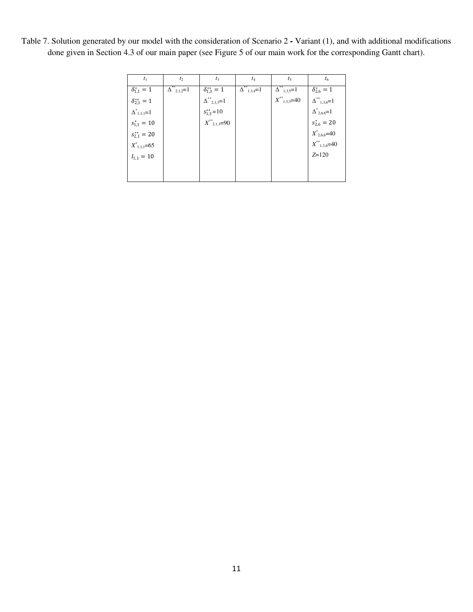| $t_1$                   | $t_2$                              | $t_3$                                              | $t_4$                              | $t_5$                                                                                                                                                    | $t_6$                |
|-------------------------|------------------------------------|----------------------------------------------------|------------------------------------|----------------------------------------------------------------------------------------------------------------------------------------------------------|----------------------|
| $\delta_{1,1}^* = 1$    | $\overline{\Delta^{**}_{2,1,2}}=1$ | $\delta_{1,3}^{**} = 1$                            | $\overline{\Delta^{**}}_{1,3,4}=1$ | $\overline{\Delta^{**}}_{1,3,5}=1$                                                                                                                       | $\delta_{2.6}^* = 1$ |
| $\delta_{2,1}^{**} = 1$ |                                    | $\Delta^{**}_{2,1,3}=1$                            |                                    |                                                                                                                                                          |                      |
| $\Delta^*_{1,1,1}=1$    |                                    | $s_{1,3}^{**}=10$<br>$X^{**}$ <sub>2,1,3</sub> =90 |                                    |                                                                                                                                                          |                      |
| $s_{1,1}^* = 10$        |                                    |                                                    |                                    | $X^{**}$ <sub>1,3,5</sub> =40<br>$\Delta^{**}$ <sub>2,6,6</sub> =1<br>$S^*_{2,6}$ = 20<br>$X^{**}$ <sub>2,6,6</sub> =40<br>$X^{**}$ <sub>1,3,6</sub> =40 |                      |
| $s_{2.1}^{**} = 20$     |                                    |                                                    |                                    |                                                                                                                                                          |                      |
| $X^*_{1,1,1}=65$        |                                    |                                                    |                                    |                                                                                                                                                          |                      |
| $I_{1,1} = 10$          |                                    |                                                    |                                    |                                                                                                                                                          | $Z = 120$            |
|                         |                                    |                                                    |                                    |                                                                                                                                                          |                      |
|                         |                                    |                                                    |                                    |                                                                                                                                                          |                      |

Table 7. Solution generated by our model with the consideration of Scenario 2 **-** Variant (1), and with additional modifications done given in Section 4.3 of our main paper (see Figure 5 of our main work for the corresponding Gantt chart).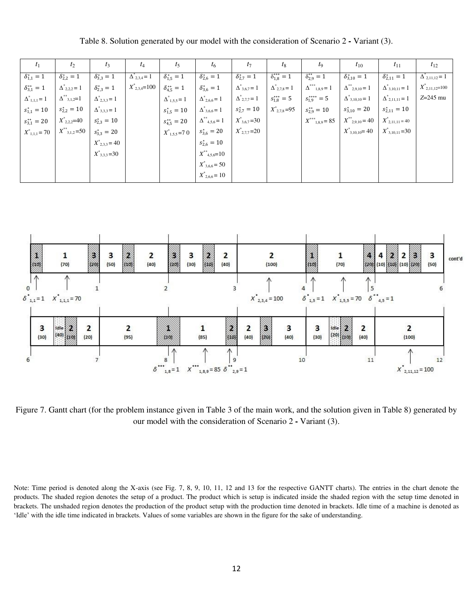| $t_1$                   | $t_2$                   | $t_3$                  | $t_4$                | $t_5$                   | $t_{6}$                            | $t_7$                  | $t_8$                  | $t_{9}$                    | $t_{10}$                                  | $t_{11}$                 | $t_{12}$                    |
|-------------------------|-------------------------|------------------------|----------------------|-------------------------|------------------------------------|------------------------|------------------------|----------------------------|-------------------------------------------|--------------------------|-----------------------------|
| $\delta_{1,1}^* = 1$    | $\delta_{2,2}^* = 1$    | $\delta_{3,3}^* = 1$   | $\Delta_{2,3,4} = 1$ | $\delta_{1,5}^* = 1$    | $\delta_{2,6}^* = 1$               | $\delta_{2,7}^* = 1$   | $\delta_{1,8}^{***}=1$ | $\delta_{2,9}^{**} = 1$    | $\delta_{3,10}^* = 1$                     | $\delta_{2,11}^* = 1$    | $\Delta_{2,11,12} = 1$      |
| $\delta_{3,1}^{**} = 1$ | $\Delta^*_{2,2,2} = 1$  | $\delta_{2,3}^* = 1$   | $X^*_{2,3,4}$ =100   | $\delta_{4.5}^{**} = 1$ | $\delta_{3,6}^* = 1$               | $\Delta^*_{3,6,7} = 1$ | $\Delta^*_{2,7,8} = 1$ | $\Delta^{***}_{1,8,9} = 1$ | $\Delta^{**}_{2,9,10} = 1$                | $\Delta^*_{3,10,11} = 1$ | $X^{\degree}_{2,11,12}=100$ |
| $\Delta^*_{1,1,1} = 1$  | $\Delta^{**}_{3,1,2}=1$ | $\Delta^*_{2,3,3} = 1$ |                      | $\Delta^*_{1,5,5} = 1$  | $\Delta^*_{2,6,6} = 1$             | $\Delta^*_{2,7,7} = 1$ | $s_{1,8}^{***} = 5$    | $s_{1,9}^{***} = 5$        | $\Delta^*_{3,10,10} = 1$                  | $\Delta^*_{2,11,11} = 1$ | $Z=245$ mu                  |
| $s_{1,1}^* = 10$        | $s_{2,2}^* = 10$        | $\Delta^*_{3,3,3} = 1$ |                      | $s_{1,5}^* = 10$        | $\Delta^*_{3,6,6} = 1$             | $s_{2,7}^* = 10$       | $X^*_{2,7,8}=95$       | $s_{2.9}^{**} = 10$        | $s_{3,10}^* = 20$                         | $s_{2,11}^* = 10$        |                             |
| $s_{3,1}^{**} = 20$     | $X^*_{2,2,2}=40$        | $s_{2,3}^* = 10$       |                      | $s_{4.5}^{**} = 20$     | $\Delta^{**}$ <sub>4,5,6</sub> = 1 | $X^*_{3,6,7} = 30$     |                        | $X^{***}_{1,8,9} = 85$     | $X^{**}_{2,9,10} = 40$                    | $X^*_{2,11,11} = 40$     |                             |
| $X^*_{1,1,1} = 70$      | $X^{**}_{3,1,2}=50$     | $s_{3,3}^* = 20$       |                      | $X^*_{1,5,5}$ = 7 0     | $s_{3,6}^* = 20$                   | $X^*_{2,7,7} = 20$     |                        |                            | $X^*_{3,10,10} = 40$ $X^*_{3,10,11} = 30$ |                          |                             |
|                         |                         | $X^*_{2,3,3} = 40$     |                      |                         | $s_{2,6}^* = 10$                   |                        |                        |                            |                                           |                          |                             |
|                         |                         | $X^*_{3,3,3}=30$       |                      |                         | $X^{**}_{4,5,6}=10$                |                        |                        |                            |                                           |                          |                             |
|                         |                         |                        |                      |                         | $X^*_{3,6,6} = 50$                 |                        |                        |                            |                                           |                          |                             |
|                         |                         |                        |                      |                         | $X^{\ast}_{2,6,6} = 10$            |                        |                        |                            |                                           |                          |                             |

Table 8. Solution generated by our model with the consideration of Scenario 2 **-** Variant (3).



Figure 7. Gantt chart (for the problem instance given in Table 3 of the main work, and the solution given in Table 8) generated by our model with the consideration of Scenario 2 **-** Variant (3).

Note: Time period is denoted along the X-axis (see Fig. 7, 8, 9, 10, 11, 12 and 13 for the respective GANTT charts). The entries in the chart denote the products. The shaded region denotes the setup of a product. The product which is setup is indicated inside the shaded region with the setup time denoted in brackets. The unshaded region denotes the production of the product setup with the production time denoted in brackets. Idle time of a machine is denoted as 'Idle' with the idle time indicated in brackets. Values of some variables are shown in the figure for the sake of understanding.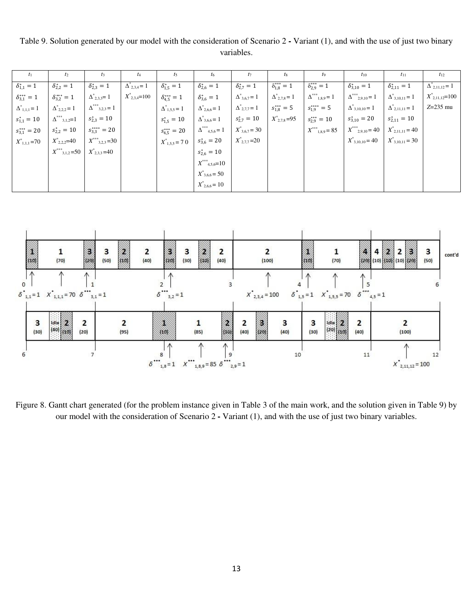Table 9. Solution generated by our model with the consideration of Scenario 2 **-** Variant (1), and with the use of just two binary variables.

|                          | $l_2$                    | $l_3$                      |                              | $I_5$                    | $t_6$                                 | $t_7$                  | $t_8$                  | $t_{9}$                    | $t_{10}$                    | $t_{11}$                 | $t_{12}$               |
|--------------------------|--------------------------|----------------------------|------------------------------|--------------------------|---------------------------------------|------------------------|------------------------|----------------------------|-----------------------------|--------------------------|------------------------|
| $\delta_{1,1}^* = 1$     | $\delta_{2,2}^* = 1$     | $\delta_{2,3}^* = 1$       | $\Delta_{2,3,4}^{\circ} = 1$ | $\delta_{1,5}^* = 1$     | $\delta_{2,6}^{*} = 1$                | $\delta_{2,7}^* = 1$   | $\delta_{1,8}^{***}=1$ | $\delta_{2,9}^{***}=1$     | $\delta_{3,10}^* = 1$       | $\delta_{2,11}^* = 1$    | $\Delta_{2,11,12} = 1$ |
| $\delta_{3,1}^{***} = 1$ | $\delta_{3,2}^{***}=1$   | $\Delta^*_{2,3,3} = 1$     | $X^*_{2,3,4} = 100$          | $\delta_{4,5}^{***} = 1$ | $\delta_{3,6}^* = 1$                  | $\Delta^*_{3,6,7} = 1$ | $\Delta^*_{2,7,8} = 1$ | $\Delta^{***}_{1,8,9} = 1$ | $\Delta^{***}_{2,9,10} = 1$ | $\Delta^*_{3,10,11} = 1$ | $X^*_{2,11,12}=100$    |
| $\Delta^*_{1,1,1} = 1$   | $\Delta^*_{2,2,2} = 1$   | $\Delta^{***}_{3,2,3} = 1$ |                              | $\Delta^*_{1,5,5} = 1$   | $\Delta^*_{2,6,6} = 1$                | $\Delta^*_{2,7,7} = 1$ | $s_{1,8}^{***} = 5$    | $s_{1,9}^{***} = 5$        | $\Delta^*_{3,10,10} = 1$    | $\Delta^*_{2,11,11} = 1$ | $Z=235$ mu             |
| $s_{1,1}^* = 10$         | $\Delta^{***}_{3,1,2}=1$ | $s_{2,3}^* = 10$           |                              | $s_{1,5}^* = 10$         | $\Delta^*_{3,6,6} = 1$                | $s_{2,7}^* = 10$       | $X^*_{2,7,8}=95$       | $s_{2,9}^{***} = 10$       | $s_{3,10}^* = 20$           | $s_{2,11}^* = 10$        |                        |
| $s_{3,1}^{***} = 20$     | $s_{2,2}^* = 10$         | $s_{3,3}^{***} = 20$       |                              | $s_{4,5}^{***} = 20$     | $\Delta^{***}_{\phantom{***}4,5,6}=1$ | $X^*_{3,6,7} = 30$     |                        | $X^{***}_{1,8,9} = 85$     | $X^{***}_{2,9,10} = 40$     | $X^*_{2,11,11} = 40$     |                        |
| $X^*_{1,1,1} = 70$       | $X^*_{2,2,2}=40$         | $X^{***}_{3,2,3}=30$       |                              | $X^*_{1,5,5} = 70$       | $s_{3,6}^* = 20$                      | $X^*_{2,7,7} = 20$     |                        |                            | $X^*_{3,10,10} = 40$        | $X^*_{3,10,11} = 30$     |                        |
|                          | $X^{***}_{3,1,2}=50$     | $X^*_{2,3,3}$ =40          |                              |                          | $s_{2,6}^* = 10$                      |                        |                        |                            |                             |                          |                        |
|                          |                          |                            |                              |                          | $X^{***}_{4,5,6}=10$                  |                        |                        |                            |                             |                          |                        |
|                          |                          |                            |                              |                          | $X^*_{3,6,6} = 50$                    |                        |                        |                            |                             |                          |                        |
|                          |                          |                            |                              |                          | $X^*_{2,6,6} = 10$                    |                        |                        |                            |                             |                          |                        |



Figure 8. Gantt chart generated (for the problem instance given in Table 3 of the main work, and the solution given in Table 9) by our model with the consideration of Scenario 2 **-** Variant (1), and with the use of just two binary variables.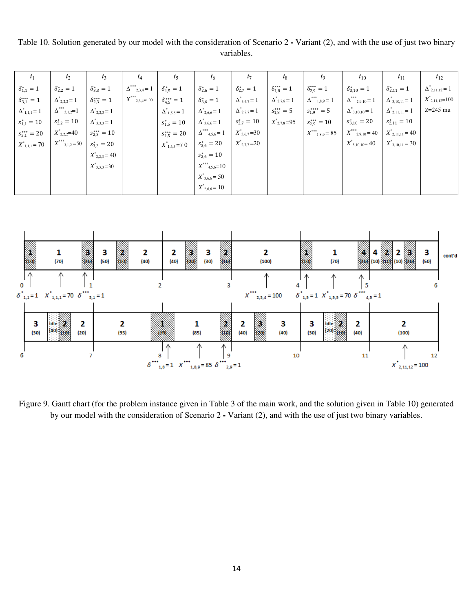Table 10. Solution generated by our model with the consideration of Scenario 2 **-** Variant (2), and with the use of just two binary variables.

| $t_1$                    | $t_2$                    | $t_3$                  | $t_4$                              | $t_5$                    | $t_6$                                   | $t_7$                  | $t_8$                  | $t_{9}$                    | $t_{10}$                    | $t_{11}$                 | $t_{12}$                 |
|--------------------------|--------------------------|------------------------|------------------------------------|--------------------------|-----------------------------------------|------------------------|------------------------|----------------------------|-----------------------------|--------------------------|--------------------------|
| $\delta_{1,1}^{*} = 1$   | $\delta_{2,2}^* = 1$     | $\delta_{3,3}^* = 1$   | $\Delta^{***}_{2,3,4}=1$           | $\delta_{1,5}^* = 1$     | $\delta_{2,6}^{*} = 1$                  | $\delta_{2,7}^* = 1$   | $\delta_{1,8}^{***}=1$ | $\delta_{2,9}^{***}=1$     | $\delta_{3,10}^* = 1$       | $\delta_{2,11}^* = 1$    | $\Delta^*_{2,11,12} = 1$ |
| $\delta_{3,1}^{***} = 1$ | $\Delta^*_{2,2,2} = 1$   | $\delta_{2,3}^{***}=1$ | $X^{***}_{\quad \  \, 2,3,4=1}$ 00 | $\delta_{4,5}^{***} = 1$ | $\delta_{3,6}^{*} = 1$                  | $\Delta^*_{3,6,7} = 1$ | $\Delta^*_{2,7,8} = 1$ | $\Delta^{***}_{1,8,9} = 1$ | $\Delta^{***}_{2,9,10}\!=1$ | $\Delta^*_{3,10,11} = 1$ | $X^{\ast}_{2,11,12}=100$ |
| $\Delta^*_{1,1,1} = 1$   | $\Delta^{***}_{3,1,2}=1$ | $\Delta^*_{2,2,3} = 1$ |                                    | $\Delta^*_{1,5,5} = 1$   | $\Delta^*_{2,6,6} = 1$                  | $\Delta^*_{2,7,7} = 1$ | $s_{1,8}^{***} = 5$    | $s_{1,9}^{***} = 5$        | $\Delta^*_{3,10,10} = 1$    | $\Delta^*_{2,11,11} = 1$ | $Z=245$ mu               |
| $s_{1,1}^* = 10$         | $s_{2,2}^* = 10$         | $\Delta^*_{3,3,3} = 1$ |                                    | $s_{1,5}^* = 10$         | $\Delta^*_{3,6,6} = 1$                  | $s_{2,7}^* = 10$       | $X^*_{2,7,8} = 95$     | $s_{2,9}^{***} = 10$       | $s_{3,10}^* = 20$           | $s_{2,11}^* = 10$        |                          |
| $s_{3,1}^{***} = 20$     | $X^*_{2,2,2}=40$         | $s_{2,3}^{***}=10$     |                                    | $s_{4,5}^{***} = 20$     | $\Delta^{***}_{\phantom{***}4,5,6}\!=1$ | $X^*_{3,6,7} = 30$     |                        | $X^{***}_{1,8,9} = 85$     | $X^{***}_{2,9,10} = 40$     | $X^*_{2,11,11} = 40$     |                          |
| $X^*_{1,1,1} = 70$       | $X^{***}_{3,1,2}=50$     | $s_{3,3}^* = 20$       |                                    | $X^*_{1,5,5}$ = 7 0      | $s_{3,6}^* = 20$                        | $X^*_{2,7,7} = 20$     |                        |                            | $X^*_{3,10,10} = 40$        | $X^*_{3,10,11} = 30$     |                          |
|                          |                          | $X^*_{2,2,3} = 40$     |                                    |                          | $s_{2,6}^* = 10$                        |                        |                        |                            |                             |                          |                          |
|                          |                          | $X^*_{3,3,3}=30$       |                                    |                          | $X^{***}_{4,5,6}=10$                    |                        |                        |                            |                             |                          |                          |
|                          |                          |                        |                                    |                          | $X^*_{3,6,6} = 50$                      |                        |                        |                            |                             |                          |                          |
|                          |                          |                        |                                    |                          | $X^*_{2,6,6} = 10$                      |                        |                        |                            |                             |                          |                          |



Figure 9. Gantt chart (for the problem instance given in Table 3 of the main work, and the solution given in Table 10) generated by our model with the consideration of Scenario 2 **-** Variant (2), and with the use of just two binary variables.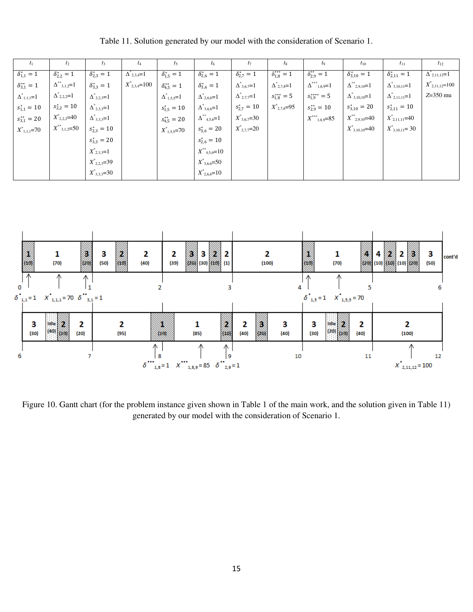| $t_1$                   | $t_2$                   | $t_3$                | $t_4$                       | $t_5$                   | $t_6$                       | $t_7$                  | $t_8$                  | $t_9$                        | $t_{10}$                       | $t_{11}$                 | $t_{12}$             |
|-------------------------|-------------------------|----------------------|-----------------------------|-------------------------|-----------------------------|------------------------|------------------------|------------------------------|--------------------------------|--------------------------|----------------------|
| $\delta_{1,1}^* = 1$    | $\delta_{2,2}^* = 1$    | $\delta_{2,3}^* = 1$ | $\Delta_{2,3,4}^{\circ}$ =1 | $\delta_{1,5}^* = 1$    | $\delta_{2,6}^{*} = 1$      | $\delta_{2,7}^* = 1$   | $\delta_{1,8}^{***}=1$ | $\delta_{2,9}^{**} = 1$      | $\delta_{3,10}^* = 1$          | $\delta_{2,11}^* = 1$    | $\Delta_{2,11,12}=1$ |
| $\delta_{3,1}^{**} = 1$ | $\Delta^{**}_{3,1,2}=1$ | $\delta_{3,3}^* = 1$ | $X^*_{2,3,4}=100$           | $\delta_{4,5}^{**} = 1$ | $\delta_{3,6}^{*} = 1$      | $\Delta^*_{3,6,7} = 1$ | $\Delta^*_{2,7,8}=1$   | $\Delta^{***}_{~~1,8,9} = 1$ | $\Delta^{**}_{2,9,10}=1$       | $\Delta^*_{3,10,11} = 1$ | $X^*_{2,11,12}=100$  |
| $\Delta^*_{1,1,1}{=}1$  | $\Delta^*_{2,2,2}=1$    | $\Delta^*_{2,2,3}=1$ |                             | $\Delta^*_{1,5,5} = 1$  | $\Delta^*_{2,6,6} = 1$      | $\Delta^*_{2,7,7} = 1$ | $s_{1,8}^{***} = 5$    | $s_{1,9}^{***} = 5$          | $\Delta^*_{3,10,10}=1$         | $\Delta^*_{2,11,11}=1$   | $Z=350$ mu           |
| $s_{1,1}^* = 10$        | $s_{2,2}^* = 10$        | $\Delta^*_{2,3,3}=1$ |                             | $s_{1,5}^* = 10$        | $\Delta^*_{3,6,6} = 1$      | $s_{2,7}^* = 10$       | $X^*_{2,7,8}=95$       | $s_{2,9}^{**} = 10$          | $s_{3,10}^* = 20$              | $s_{2,11}^* = 10$        |                      |
| $s_{3,1}^{**} = 20$     | $X^*_{2,2,2}=40$        | $\Delta^*_{3,3,3}=1$ |                             | $s_{4,5}^{**} = 20$     | $\Delta^{**}{}_{4,5,6} = 1$ | $X^*_{3,6,7}=30$       |                        | $X^{***}_{1,8,9}=85$         | $X^{\ast\ast}{}_{2,9,10} = 40$ | $X^*_{2,11,11} = 40$     |                      |
| $X^*_{1,1,1}=70$        | $X^{**}_{3,1,2}=50$     | $s_{2,3}^* = 10$     |                             | $X^*_{1,5,5} = 70$      | $s_{3,6}^* = 20$            | $X^*_{2,7,7}=20$       |                        |                              | $X^*_{3,10,10} = 40$           | $X^*_{3,10,11} = 30$     |                      |
|                         |                         | $s_{3,3}^* = 20$     |                             |                         | $s_{2,6}^* = 10$            |                        |                        |                              |                                |                          |                      |
|                         |                         | $X^*_{2,3,3}=1$      |                             |                         | $X^{**}_{4,5,6} = 10$       |                        |                        |                              |                                |                          |                      |
|                         |                         | $X^*_{2,2,3}=39$     |                             |                         | $X^*_{3,6,6} = 50$          |                        |                        |                              |                                |                          |                      |
|                         |                         | $X^*_{3,3,3}=30$     |                             |                         | $X^*_{2,6,6} = 10$          |                        |                        |                              |                                |                          |                      |

Table 11. Solution generated by our model with the consideration of Scenario 1.



Figure 10. Gantt chart (for the problem instance given shown in Table 1 of the main work, and the solution given in Table 11) generated by our model with the consideration of Scenario 1.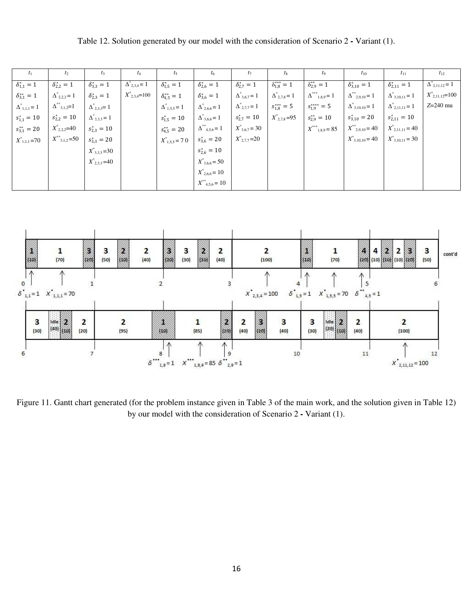Table 12. Solution generated by our model with the consideration of Scenario 2 **-** Variant (1).

| $\mathcal{I}_1$         | $t_2$                   | $t_3$                  | $t_4$                  | $t_5$                   | $t_6$                     | $t_7$                  | $t_{8}$                | $t_{9}$                    | $t_{10}$                       | $t_{11}$                 | $t_{12}$                                     |
|-------------------------|-------------------------|------------------------|------------------------|-------------------------|---------------------------|------------------------|------------------------|----------------------------|--------------------------------|--------------------------|----------------------------------------------|
| $\delta_{1,1}^* = 1$    | $\delta_{2,2}^* = 1$    | $\delta_{3,3}^* = 1$   | $\Delta^*_{2,3,4} = 1$ | $\delta_{1,5}^* = 1$    | $\delta_{2,6}^{*} = 1$    | $\delta_{2,7}^* = 1$   | $\delta_{1,8}^{***}=1$ | $\delta_{2,9}^{**} = 1$    | $\delta_{3,10}^* = 1$          | $\delta_{2,11}^* = 1$    | $\Delta$ <sup>-</sup> <sub>2,11,12</sub> = 1 |
| $\delta_{3,1}^{**} = 1$ | $\Delta^*_{2,2,2} = 1$  | $\delta_{2,3}^* = 1$   | $X^*_{2,3,4}=100$      | $\delta_{4.5}^{**} = 1$ | $\delta_{3,6}^* = 1$      | $\Delta^*_{3,6,7} = 1$ | $\Delta^*_{2,7,8} = 1$ | $\Delta^{***}_{1,8,9} = 1$ | $\Delta^{**}_{2,9,10} = 1$     | $\Delta^*_{3,10,11} = 1$ | $X^*_{2,11,12}=100$                          |
| $\Delta^*_{1,1,1} = 1$  | $\Delta^{**}_{3,1,2}=1$ | $\Delta^*_{2,3,3} = 1$ |                        | $\Delta^*_{1,5,5} = 1$  | $\Delta^*_{2,6,6} = 1$    | $\Delta^*_{2,7,7} = 1$ | $s_{1,8}^{***} = 5$    | $s_{1,9}^{***} = 5$        | $\Delta^*_{3,10,10} = 1$       | $\Delta^*_{2,11,11} = 1$ | $Z=240$ mu                                   |
| $s_{1,1}^* = 10$        | $s_{2,2}^* = 10$        | $\Delta^*_{3,3,3} = 1$ |                        | $s_{1,5}^* = 10$        | $\Delta^*_{3,6,6} = 1$    | $s_{2,7}^* = 10$       | $X^*_{2,7,8}=95$       | $s_{2.9}^{**} = 10$        | $s_{3,10}^* = 20$              | $s_{2,11}^* = 10$        |                                              |
| $s_{3,1}^{**} = 20$     | $X^*_{2,2,2}=40$        | $s_{2,3}^* = 10$       |                        | $s_{4,5}^{**} = 20$     | $\Delta^{**}_{4,5,6} = 1$ | $X^*_{3,6,7} = 30$     |                        | $X^{***}_{1,8,9} = 85$     | $X^{\ast\ast}{}_{2,9,10} = 40$ | $X^*_{2,11,11} = 40$     |                                              |
| $X^*_{1,1,1} = 70$      | $X^{**}_{3,1,2}=50$     | $s_{3,3}^* = 20$       |                        | $X^*_{1,5,5} = 70$      | $s_{3,6}^* = 20$          | $X^*_{2,7,7} = 20$     |                        |                            | $X^*_{3,10,10} = 40$           | $X^*_{3,10,11} = 30$     |                                              |
|                         |                         | $X^*_{3,3,3}=30$       |                        |                         | $s_{2,6}^* = 10$          |                        |                        |                            |                                |                          |                                              |
|                         |                         | $X^*_{2,3,3}$ =40      |                        |                         | $X^*_{3,6,6} = 50$        |                        |                        |                            |                                |                          |                                              |
|                         |                         |                        |                        |                         | $X^*_{2,6,6} = 10$        |                        |                        |                            |                                |                          |                                              |
|                         |                         |                        |                        |                         | $X^{**}_{4,5,6} = 10$     |                        |                        |                            |                                |                          |                                              |



Figure 11. Gantt chart generated (for the problem instance given in Table 3 of the main work, and the solution given in Table 12) by our model with the consideration of Scenario 2 **-** Variant (1).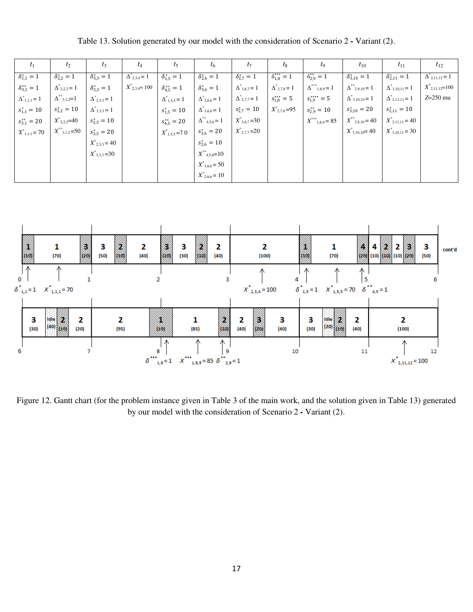| $\tau_1$                | $t_2$                            | $t_3$                  | $t_4$                | $t_5$                   | $t_6$                              | $t_7$                           | $t_8$                  | $t_{9}$                    | $t_{10}$                   | $t_{11}$                 | $t_{12}$                    |
|-------------------------|----------------------------------|------------------------|----------------------|-------------------------|------------------------------------|---------------------------------|------------------------|----------------------------|----------------------------|--------------------------|-----------------------------|
| $\delta_{1,1}^* = 1$    | $\delta_{2,2}^* = 1$             | $\delta_{3,3}^* = 1$   | $\Delta_{2,3,4} = 1$ | $\delta_{1,5}^* = 1$    | $\delta_{2,6}^{*} = 1$             | $\delta_{2,7}^* = 1$            | $\delta_{1,8}^{***}=1$ | $\delta_{2,9}^{**} = 1$    | $\delta_{3,10}^* = 1$      | $\delta_{2,11}^* = 1$    | $\Delta_{2,11,12} = 1$      |
| $\delta_{3,1}^{**} = 1$ | $\Delta^*_{2,2,2} = 1$           | $\delta_{2,3}^* = 1$   | $X^*_{2,3,4}=100$    | $\delta_{4,5}^{**} = 1$ | $\delta_{3,6}^* = 1$               | $\Delta^*$ <sub>3,6,7</sub> = 1 | $\Delta^*_{2,7,8} = 1$ | $\Delta^{***}_{1,8,9} = 1$ | $\Delta^{**}_{2,9,10} = 1$ | $\Delta^*_{3,10,11} = 1$ | $X^{\dagger}_{2,11,12}=100$ |
| $\Delta^*_{1,1,1}=1$    | $\Delta^{**}_{\  \  \, 3,1,2}=1$ | $\Delta^*_{2,3,3} = 1$ |                      | $\Delta^*_{1,5,5} = 1$  | $\Delta^*_{2,6,6} = 1$             | $\Delta^*_{2,7,7} = 1$          | $s_{1,8}^{***} = 5$    | $s_{1,9}^{***} = 5$        | $\Delta^*_{3,10,10} = 1$   | $\Delta^*_{2,11,11} = 1$ | $Z=250$ mu                  |
| $s_{1,1}^* = 10$        | $s_{2,2}^* = 10$                 | $\Delta^*_{3,3,3} = 1$ |                      | $s_{1,5}^* = 10$        | $\Delta^*_{3,6,6} = 1$             | $s_{2,7}^* = 10$                | $X^*_{2,7,8}=95$       | $s_{2,9}^{**} = 10$        | $s_{3,10}^* = 20$          | $s_{2,11}^* = 10$        |                             |
| $s_{3,1}^{**} = 20$     | $X^*_{2,2,2}=40$                 | $s_{2,3}^* = 10$       |                      | $s_{4,5}^{**} = 20$     | $\Delta^{**}$ <sub>4,5,6</sub> = 1 | $X^*_{3,6,7} = 30$              |                        | $X^{***}_{1,8,9} = 85$     | $X^{**}_{2,9,10} = 40$     | $X^*_{2,11,11} = 40$     |                             |
| $X^*_{1,1,1} = 70$      | $X^{**}_{3,1,2} = 50$            | $s_{3,3}^* = 20$       |                      | $X^*_{1,5,5}$ = 7 0     | $s_{3,6}^* = 20$                   | $X^*_{2,7,7} = 20$              |                        |                            | $X^*_{3,10,10} = 40$       | $X^*_{3,10,11} = 30$     |                             |
|                         |                                  | $X^*_{2,3,3} = 40$     |                      |                         | $s_{2,6}^* = 10$                   |                                 |                        |                            |                            |                          |                             |
|                         |                                  | $X^*_{3,3,3}=30$       |                      |                         | $X^{**}_{4,5,6}=10$                |                                 |                        |                            |                            |                          |                             |
|                         |                                  |                        |                      |                         | $X^*_{3,6,6} = 50$                 |                                 |                        |                            |                            |                          |                             |
|                         |                                  |                        |                      |                         | $X^*_{2,6,6} = 10$                 |                                 |                        |                            |                            |                          |                             |

Table 13. Solution generated by our model with the consideration of Scenario 2 **-** Variant (2).



Figure 12. Gantt chart (for the problem instance given in Table 3 of the main work, and the solution given in Table 13) generated by our model with the consideration of Scenario 2 **-** Variant (2).